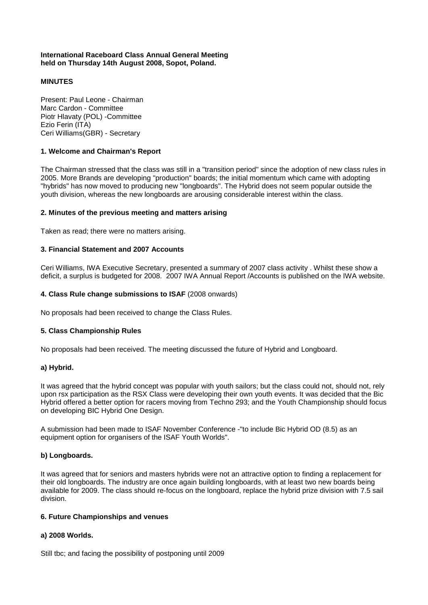### **International Raceboard Class Annual General Meeting held on Thursday 14th August 2008, Sopot, Poland.**

# **MINUTES**

Present: Paul Leone - Chairman Marc Cardon - Committee Piotr Hlavaty (POL) -Committee Ezio Ferin (ITA) Ceri Williams(GBR) - Secretary

## **1. Welcome and Chairman's Report**

The Chairman stressed that the class was still in a "transition period" since the adoption of new class rules in 2005. More Brands are developing "production" boards; the initial momentum which came with adopting "hybrids" has now moved to producing new "longboards". The Hybrid does not seem popular outside the youth division, whereas the new longboards are arousing considerable interest within the class.

## **2. Minutes of the previous meeting and matters arising**

Taken as read; there were no matters arising.

## **3. Financial Statement and 2007 Accounts**

Ceri Williams, IWA Executive Secretary, presented a summary of 2007 class activity . Whilst these show a deficit, a surplus is budgeted for 2008. 2007 IWA Annual Report /Accounts is published on the IWA website.

## **4. Class Rule change submissions to ISAF** (2008 onwards)

No proposals had been received to change the Class Rules.

#### **5. Class Championship Rules**

No proposals had been received. The meeting discussed the future of Hybrid and Longboard.

#### **a) Hybrid.**

It was agreed that the hybrid concept was popular with youth sailors; but the class could not, should not, rely upon rsx participation as the RSX Class were developing their own youth events. It was decided that the Bic Hybrid offered a better option for racers moving from Techno 293; and the Youth Championship should focus on developing BIC Hybrid One Design.

A submission had been made to ISAF November Conference -"to include Bic Hybrid OD (8.5) as an equipment option for organisers of the ISAF Youth Worlds".

#### **b) Longboards.**

It was agreed that for seniors and masters hybrids were not an attractive option to finding a replacement for their old longboards. The industry are once again building longboards, with at least two new boards being available for 2009. The class should re-focus on the longboard, replace the hybrid prize division with 7.5 sail division.

#### **6. Future Championships and venues**

# **a) 2008 Worlds.**

Still tbc; and facing the possibility of postponing until 2009